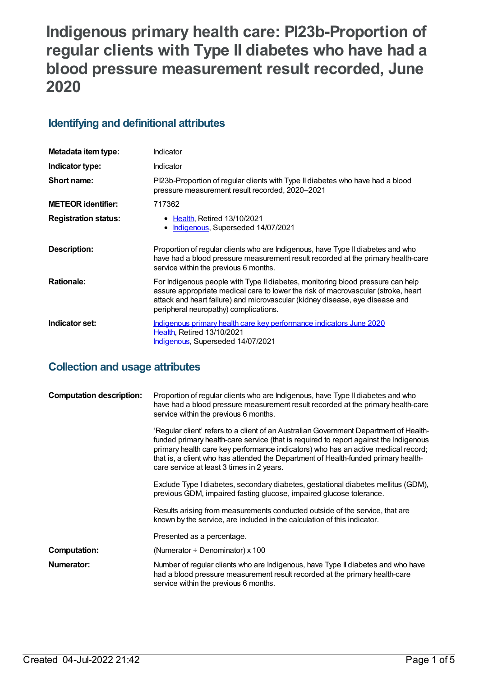# **Indigenous primary health care: PI23b-Proportion of regular clients with Type II diabetes who have had a blood pressure measurement result recorded, June 2020**

## **Identifying and definitional attributes**

| Metadata item type:         | Indicator                                                                                                                                                                                                                                                                                     |
|-----------------------------|-----------------------------------------------------------------------------------------------------------------------------------------------------------------------------------------------------------------------------------------------------------------------------------------------|
| Indicator type:             | Indicator                                                                                                                                                                                                                                                                                     |
| Short name:                 | Pl23b-Proportion of regular clients with Type II diabetes who have had a blood<br>pressure measurement result recorded, 2020-2021                                                                                                                                                             |
| <b>METEOR</b> identifier:   | 717362                                                                                                                                                                                                                                                                                        |
| <b>Registration status:</b> | • Health, Retired 13/10/2021<br>Indigenous, Superseded 14/07/2021                                                                                                                                                                                                                             |
| <b>Description:</b>         | Proportion of regular clients who are Indigenous, have Type II diabetes and who<br>have had a blood pressure measurement result recorded at the primary health-care<br>service within the previous 6 months.                                                                                  |
| <b>Rationale:</b>           | For Indigenous people with Type II diabetes, monitoring blood pressure can help<br>assure appropriate medical care to lower the risk of macrovascular (stroke, heart<br>attack and heart failure) and microvascular (kidney disease, eye disease and<br>peripheral neuropathy) complications. |
| Indicator set:              | Indigenous primary health care key performance indicators June 2020<br><b>Health, Retired 13/10/2021</b><br><b>Indigenous, Superseded 14/07/2021</b>                                                                                                                                          |

# **Collection and usage attributes**

| <b>Computation description:</b> | Proportion of regular clients who are Indigenous, have Type II diabetes and who<br>have had a blood pressure measurement result recorded at the primary health-care<br>service within the previous 6 months.                                                                                                                                                                                           |
|---------------------------------|--------------------------------------------------------------------------------------------------------------------------------------------------------------------------------------------------------------------------------------------------------------------------------------------------------------------------------------------------------------------------------------------------------|
|                                 | 'Regular client' refers to a client of an Australian Government Department of Health-<br>funded primary health-care service (that is required to report against the Indigenous<br>primary health care key performance indicators) who has an active medical record;<br>that is, a client who has attended the Department of Health-funded primary health-<br>care service at least 3 times in 2 years. |
|                                 | Exclude Type I diabetes, secondary diabetes, gestational diabetes mellitus (GDM),<br>previous GDM, impaired fasting glucose, impaired glucose tolerance.                                                                                                                                                                                                                                               |
|                                 | Results arising from measurements conducted outside of the service, that are<br>known by the service, are included in the calculation of this indicator.                                                                                                                                                                                                                                               |
|                                 | Presented as a percentage.                                                                                                                                                                                                                                                                                                                                                                             |
| <b>Computation:</b>             | (Numerator $\div$ Denominator) x 100                                                                                                                                                                                                                                                                                                                                                                   |
| Numerator:                      | Number of regular clients who are Indigenous, have Type II diabetes and who have<br>had a blood pressure measurement result recorded at the primary health-care<br>service within the previous 6 months.                                                                                                                                                                                               |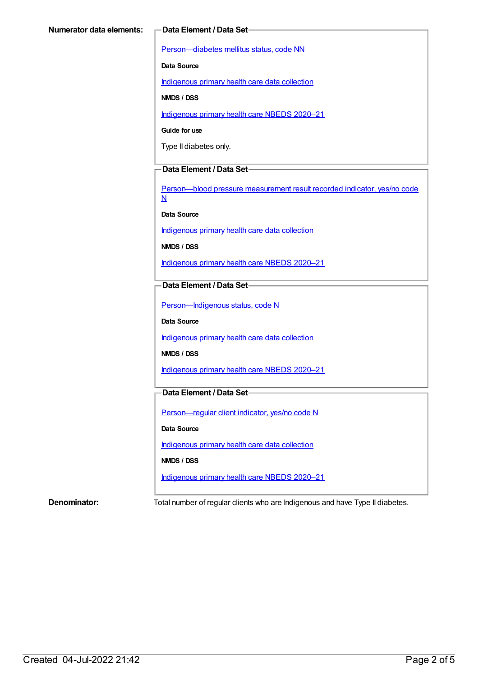[Person—diabetes](https://meteor.aihw.gov.au/content/270194) mellitus status, code NN

**Data Source**

[Indigenous](https://meteor.aihw.gov.au/content/430643) primary health care data collection

**NMDS / DSS**

[Indigenous](https://meteor.aihw.gov.au/content/715320) primary health care NBEDS 2020–21

**Guide for use**

Type II diabetes only.

#### **Data Element / Data Set**

[Person—blood](https://meteor.aihw.gov.au/content/441407) pressure measurement result recorded indicator, yes/no code N

**Data Source**

[Indigenous](https://meteor.aihw.gov.au/content/430643) primary health care data collection

**NMDS / DSS**

[Indigenous](https://meteor.aihw.gov.au/content/715320) primary health care NBEDS 2020–21

### **Data Element / Data Set**

Person-Indigenous status, code N

**Data Source**

[Indigenous](https://meteor.aihw.gov.au/content/430643) primary health care data collection

**NMDS / DSS**

[Indigenous](https://meteor.aihw.gov.au/content/715320) primary health care NBEDS 2020–21

### **Data Element / Data Set**

[Person—regular](https://meteor.aihw.gov.au/content/686291) client indicator, yes/no code N

**Data Source**

[Indigenous](https://meteor.aihw.gov.au/content/430643) primary health care data collection

**NMDS / DSS**

[Indigenous](https://meteor.aihw.gov.au/content/715320) primary health care NBEDS 2020–21

**Denominator:** Total number of regular clients who are Indigenous and have Type II diabetes.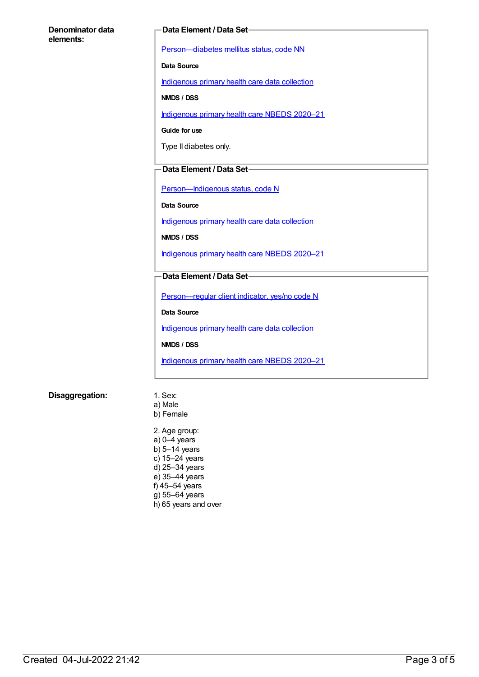#### **Denominator data elements:**

#### **Data Element / Data Set**

[Person—diabetes](https://meteor.aihw.gov.au/content/270194) mellitus status, code NN

**Data Source**

[Indigenous](https://meteor.aihw.gov.au/content/430643) primary health care data collection

**NMDS / DSS**

[Indigenous](https://meteor.aihw.gov.au/content/715320) primary health care NBEDS 2020–21

**Guide for use**

Type II diabetes only.

#### **Data Element / Data Set**

[Person—Indigenous](https://meteor.aihw.gov.au/content/602543) status, code N

**Data Source**

[Indigenous](https://meteor.aihw.gov.au/content/430643) primary health care data collection

**NMDS / DSS**

[Indigenous](https://meteor.aihw.gov.au/content/715320) primary health care NBEDS 2020–21

#### **Data Element / Data Set**

[Person—regular](https://meteor.aihw.gov.au/content/686291) client indicator, yes/no code N

**Data Source**

[Indigenous](https://meteor.aihw.gov.au/content/430643) primary health care data collection

**NMDS / DSS**

[Indigenous](https://meteor.aihw.gov.au/content/715320) primary health care NBEDS 2020–21

#### **Disaggregation:** 1. Sex:

- a) Male b) Female
- 2. Age group: a) 0–4 years b) 5–14 years c) 15–24 years d) 25–34 years e) 35–44 years f) 45–54 years g) 55–64 years h) 65 years and over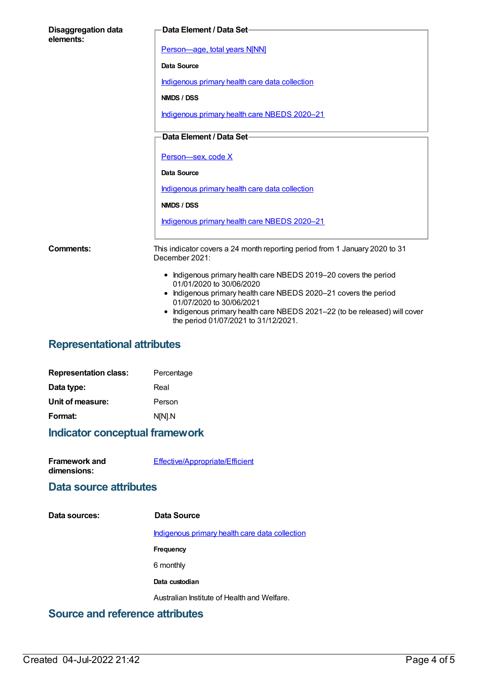| <b>Disaggregation data</b><br>elements: | Data Element / Data Set-                                                                                                                                                                                                                                                                                         |
|-----------------------------------------|------------------------------------------------------------------------------------------------------------------------------------------------------------------------------------------------------------------------------------------------------------------------------------------------------------------|
|                                         | Person-age, total years N[NN]                                                                                                                                                                                                                                                                                    |
|                                         | Data Source                                                                                                                                                                                                                                                                                                      |
|                                         | Indigenous primary health care data collection                                                                                                                                                                                                                                                                   |
|                                         | NMDS / DSS                                                                                                                                                                                                                                                                                                       |
|                                         | Indigenous primary health care NBEDS 2020-21                                                                                                                                                                                                                                                                     |
|                                         | Data Element / Data Set-                                                                                                                                                                                                                                                                                         |
|                                         | Person-sex, code X                                                                                                                                                                                                                                                                                               |
|                                         | Data Source                                                                                                                                                                                                                                                                                                      |
|                                         | Indigenous primary health care data collection                                                                                                                                                                                                                                                                   |
|                                         | NMDS / DSS                                                                                                                                                                                                                                                                                                       |
|                                         | Indigenous primary health care NBEDS 2020-21                                                                                                                                                                                                                                                                     |
| Comments:                               | This indicator covers a 24 month reporting period from 1 January 2020 to 31<br>December 2021:                                                                                                                                                                                                                    |
|                                         | • Indigenous primary health care NBEDS 2019-20 covers the period<br>01/01/2020 to 30/06/2020<br>• Indigenous primary health care NBEDS 2020-21 covers the period<br>01/07/2020 to 30/06/2021<br>Indigenous primary health care NBEDS 2021-22 (to be released) will cover<br>the period 01/07/2021 to 31/12/2021. |

# **Representational attributes**

| Percentage |
|------------|
| Real       |
| Person     |
| N[N].N     |
|            |

# **Indicator conceptual framework**

| <b>Framework and</b> | Effective/Appropriate/Efficient |
|----------------------|---------------------------------|
| dimensions:          |                                 |

## **Data source attributes**

| Data sources: | Data Source                                    |
|---------------|------------------------------------------------|
|               | Indigenous primary health care data collection |
|               | Frequency                                      |
|               | 6 monthly                                      |
|               | Data custodian                                 |
|               | Australian Institute of Health and Welfare.    |
|               |                                                |

## **Source and reference attributes**